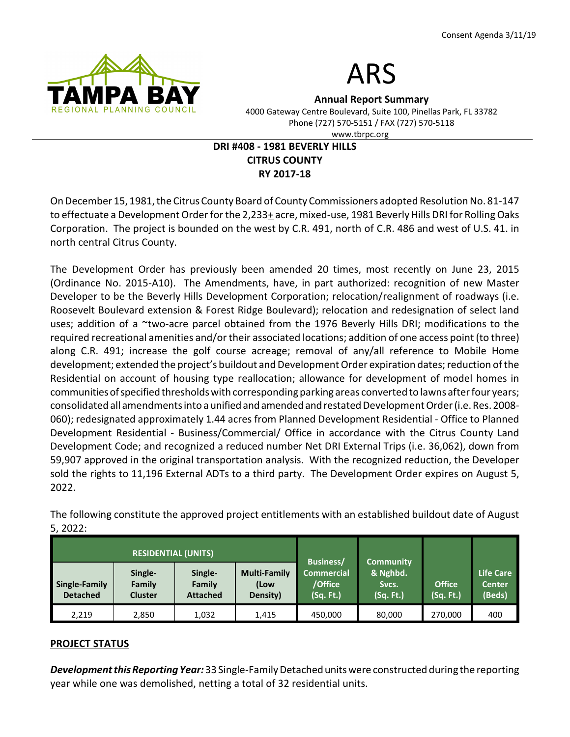



Annual Report Summary 4000 Gateway Centre Boulevard, Suite 100, Pinellas Park, FL 33782

Phone (727) 570-5151 / FAX (727) 570-5118

www.tbrpc.org

# DRI #408 - 1981 BEVERLY HILLS CITRUS COUNTY RY 2017-18

On December 15, 1981, the Citrus County Board of County Commissioners adopted Resolution No. 81-147 to effectuate a Development Order for the 2,233+ acre, mixed-use, 1981 Beverly Hills DRI for Rolling Oaks Corporation. The project is bounded on the west by C.R. 491, north of C.R. 486 and west of U.S. 41. in north central Citrus County.

The Development Order has previously been amended 20 times, most recently on June 23, 2015 (Ordinance No. 2015-A10). The Amendments, have, in part authorized: recognition of new Master Developer to be the Beverly Hills Development Corporation; relocation/realignment of roadways (i.e. Roosevelt Boulevard extension & Forest Ridge Boulevard); relocation and redesignation of select land uses; addition of a ~two-acre parcel obtained from the 1976 Beverly Hills DRI; modifications to the required recreational amenities and/or their associated locations; addition of one access point (to three) along C.R. 491; increase the golf course acreage; removal of any/all reference to Mobile Home development; extended the project's buildout and Development Order expiration dates; reduction of the Residential on account of housing type reallocation; allowance for development of model homes in communities of specified thresholds with corresponding parking areas converted to lawns after four years; consolidated all amendments into a unified and amended and restated Development Order (i.e. Res. 2008- 060); redesignated approximately 1.44 acres from Planned Development Residential - Office to Planned Development Residential - Business/Commercial/ Office in accordance with the Citrus County Land Development Code; and recognized a reduced number Net DRI External Trips (i.e. 36,062), down from 59,907 approved in the original transportation analysis. With the recognized reduction, the Developer sold the rights to 11,196 External ADTs to a third party. The Development Order expires on August 5, 2022.

| <b>RESIDENTIAL (UNITS)</b>       |                                     |                                      |                                         |                                                        | <b>Community</b>               |                            |                                      |
|----------------------------------|-------------------------------------|--------------------------------------|-----------------------------------------|--------------------------------------------------------|--------------------------------|----------------------------|--------------------------------------|
| Single-Family<br><b>Detached</b> | Single-<br>Family<br><b>Cluster</b> | Single-<br>Family<br><b>Attached</b> | <b>Multi-Family</b><br>(Low<br>Density) | <b>Business/</b><br>Commercial<br>/Office<br>(Sq. Ft.) | & Nghbd.<br>Sycs.<br>(Sq. Ft.) | <b>Office</b><br>(Sq. Ft.) | Life Care<br><b>Center</b><br>(Beds) |
| 2,219                            | 2,850                               | 1,032                                | 1.415                                   | 450,000                                                | 80,000                         | 270,000                    | 400                                  |

The following constitute the approved project entitlements with an established buildout date of August 5, 2022:

### PROJECT STATUS

Development this Reporting Year: 33 Single-Family Detached units were constructed during the reporting year while one was demolished, netting a total of 32 residential units.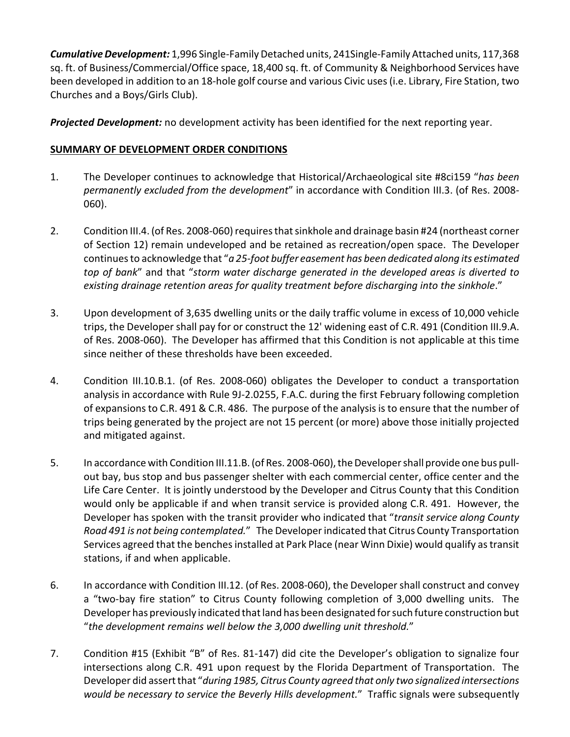Cumulative Development: 1,996 Single-Family Detached units, 241Single-Family Attached units, 117,368 sq. ft. of Business/Commercial/Office space, 18,400 sq. ft. of Community & Neighborhood Services have been developed in addition to an 18-hole golf course and various Civic uses (i.e. Library, Fire Station, two Churches and a Boys/Girls Club).

Projected Development: no development activity has been identified for the next reporting year.

# SUMMARY OF DEVELOPMENT ORDER CONDITIONS

- 1. The Developer continues to acknowledge that Historical/Archaeological site #8ci159 "has been permanently excluded from the development" in accordance with Condition III.3. (of Res. 2008-060).
- 2. Condition III.4. (of Res. 2008-060) requires that sinkhole and drainage basin #24 (northeast corner of Section 12) remain undeveloped and be retained as recreation/open space. The Developer continues to acknowledge that "a 25-foot buffer easement has been dedicated along its estimated top of bank" and that "storm water discharge generated in the developed areas is diverted to existing drainage retention areas for quality treatment before discharging into the sinkhole."
- 3. Upon development of 3,635 dwelling units or the daily traffic volume in excess of 10,000 vehicle trips, the Developer shall pay for or construct the 12' widening east of C.R. 491 (Condition III.9.A. of Res. 2008-060). The Developer has affirmed that this Condition is not applicable at this time since neither of these thresholds have been exceeded.
- 4. Condition III.10.B.1. (of Res. 2008-060) obligates the Developer to conduct a transportation analysis in accordance with Rule 9J-2.0255, F.A.C. during the first February following completion of expansions to C.R. 491 & C.R. 486. The purpose of the analysis is to ensure that the number of trips being generated by the project are not 15 percent (or more) above those initially projected and mitigated against.
- 5. In accordance with Condition III.11.B. (of Res. 2008-060), the Developer shall provide one bus pullout bay, bus stop and bus passenger shelter with each commercial center, office center and the Life Care Center. It is jointly understood by the Developer and Citrus County that this Condition would only be applicable if and when transit service is provided along C.R. 491. However, the Developer has spoken with the transit provider who indicated that "transit service along County Road 491 is not being contemplated." The Developer indicated that Citrus County Transportation Services agreed that the benches installed at Park Place (near Winn Dixie) would qualify as transit stations, if and when applicable.
- 6. In accordance with Condition III.12. (of Res. 2008-060), the Developer shall construct and convey a "two-bay fire station" to Citrus County following completion of 3,000 dwelling units. The Developer has previously indicated that land has been designated for such future construction but "the development remains well below the 3,000 dwelling unit threshold."
- 7. Condition #15 (Exhibit "B" of Res. 81-147) did cite the Developer's obligation to signalize four intersections along C.R. 491 upon request by the Florida Department of Transportation. The Developer did assert that "during 1985, Citrus County agreed that only two signalized intersections would be necessary to service the Beverly Hills development." Traffic signals were subsequently